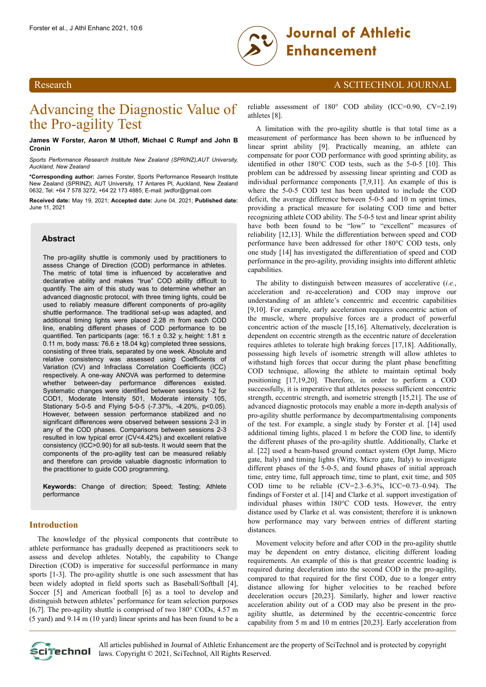

# Research A SCITECHNOL JOURNAL

# Advancing the Diagnostic Value of the Pro-agility Test

**James W Forster, Aaron M Uthoff, Michael C Rumpf and John B Cronin**

*Sports Performance Research Institute New Zealand (SPRINZ),AUT University, Auckland, New Zealand*

**\*Corresponding author:** James Forster, Sports Performance Research Institute New Zealand (SPRINZ), AUT University, 17 Antares Pl, Auckland, New Zealand 0632, Tel: +64 7 578 3272, +64 22 173 4885; E-mail: jwdfor@gmail.com

**Received date:** May 19, 2021; **Accepted date:** June 04, 2021; **Published date:** June 11, 2021

# **Abstract**

The pro-agility shuttle is commonly used by practitioners to assess Change of Direction (COD) performance in athletes. The metric of total time is influenced by accelerative and declarative ability and makes "true" COD ability difficult to quantify. The aim of this study was to determine whether an advanced diagnostic protocol, with three timing lights, could be used to reliably measure different components of pro-agility shuttle performance. The traditional set-up was adapted, and additional timing lights were placed 2.28 m from each COD line, enabling different phases of COD performance to be quantified. Ten participants (age: 16.1 ± 0.32 y, height: 1.81 ± 0.11 m, body mass: 76.6 ± 18.04 kg) completed three sessions, consisting of three trials, separated by one week. Absolute and relative consistency was assessed using Coefficients of Variation (CV) and Infraclass Correlation Coefficients (ICC) respectively. A one-way ANOVA was performed to determine whether between-day performance differences existed. Systematic changes were identified between sessions 1-2 for COD1, Moderate Intensity 501, Moderate intensity 105, Stationary 5-0-5 and Flying 5-0-5 (-7.37%, -4.20%, p<0.05). However, between session performance stabilized and no significant differences were observed between sessions 2-3 in any of the COD phases. Comparisons between sessions 2-3 resulted in low typical error (CV<4.42%) and excellent relative consistency (ICC>0.90) for all sub-tests. It would seem that the components of the pro-agility test can be measured reliably and therefore can provide valuable diagnostic information to the practitioner to guide COD programming.

**Keywords:** Change of direction; Speed; Testing; Athlete performance

# **Introduction**

The knowledge of the physical components that contribute to athlete performance has gradually deepened as practitioners seek to assess and develop athletes. Notably, the capability to Change Direction (COD) is imperative for successful performance in many sports [1-3]. The pro-agility shuttle is one such assessment that has been widely adopted in field sports such as Baseball/Softball [4], Soccer [5] and American football [6] as a tool to develop and distinguish between athletes' performance for team selection purposes [6,7]. The pro-agility shuttle is comprised of two  $180^{\circ}$  CODs, 4.57 m (5 yard) and 9.14 m (10 yard) linear sprints and has been found to be a reliable assessment of 180° COD ability (ICC=0.90, CV=2.19) athletes [8].

A limitation with the pro-agility shuttle is that total time as a measurement of performance has been shown to be influenced by linear sprint ability [9]. Practically meaning, an athlete can compensate for poor COD performance with good sprinting ability, as identified in other 180°C COD tests, such as the 5-0-5 [10]. This problem can be addressed by assessing linear sprinting and COD as individual performance components [7,9,11]. An example of this is where the 5-0-5 COD test has been updated to include the COD deficit, the average difference between 5-0-5 and 10 m sprint times, providing a practical measure for isolating COD time and better recognizing athlete COD ability. The 5-0-5 test and linear sprint ability have both been found to be "low" to "excellent" measures of reliability [12,13]. While the differentiation between speed and COD performance have been addressed for other 180°C COD tests, only one study [14] has investigated the differentiation of speed and COD performance in the pro-agility, providing insights into different athletic capabilities.

The ability to distinguish between measures of accelerative (*i.e.*, acceleration and re-acceleration) and COD may improve our understanding of an athlete's concentric and eccentric capabilities [9,10]. For example, early acceleration requires concentric action of the muscle, where propulsive forces are a product of powerful concentric action of the muscle [15,16]. Alternatively, deceleration is dependent on eccentric strength as the eccentric nature of deceleration requires athletes to tolerate high braking forces [17,18]. Additionally, possessing high levels of isometric strength will allow athletes to withstand high forces that occur during the plant phase benefitting COD technique, allowing the athlete to maintain optimal body positioning [17,19,20]. Therefore, in order to perform a COD successfully, it is imperative that athletes possess sufficient concentric strength, eccentric strength, and isometric strength [15,21]. The use of advanced diagnostic protocols may enable a more in-depth analysis of pro-agility shuttle performance by decompartmentalising components of the test. For example, a single study by Forster et al. [14] used additional timing lights, placed 1 m before the COD line, to identify the different phases of the pro-agility shuttle. Additionally, Clarke et al. [22] used a beam-based ground contact system (Opt Jump, Micro gate, Italy) and timing lights (Witty, Micro gate, Italy) to investigate different phases of the 5-0-5, and found phases of initial approach time, entry time, full approach time, time to plant, exit time, and 505 COD time to be reliable (CV=2.3–6.3%, ICC=0.73–0.94). The findings of Forster et al. [14] and Clarke et al. support investigation of individual phases within 180°C COD tests. However, the entry distance used by Clarke et al. was consistent; therefore it is unknown how performance may vary between entries of different starting distances.

Movement velocity before and after COD in the pro-agility shuttle may be dependent on entry distance, eliciting different loading requirements. An example of this is that greater eccentric loading is required during deceleration into the second COD in the pro-agility, compared to that required for the first COD, due to a longer entry distance allowing for higher velocities to be reached before deceleration occurs [20,23]. Similarly, higher and lower reactive acceleration ability out of a COD may also be present in the proagility shuttle, as determined by the eccentric-concentric force capability from 5 m and 10 m entries [20,23]. Early acceleration from



All articles published in Journal of Athletic Enhancement are the property of SciTechnol and is protected by copyright **Clitechnol** laws. Copyright © 2021, SciTechnol, All Rights Reserved.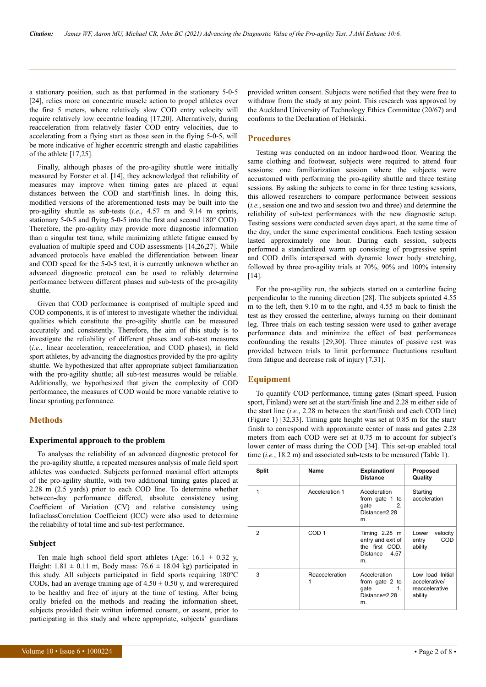a stationary position, such as that performed in the stationary 5-0-5 [24], relies more on concentric muscle action to propel athletes over the first 5 meters, where relatively slow COD entry velocity will require relatively low eccentric loading [17,20]. Alternatively, during reacceleration from relatively faster COD entry velocities, due to accelerating from a flying start as those seen in the flying 5-0-5, will be more indicative of higher eccentric strength and elastic capabilities of the athlete [17,25].

Finally, although phases of the pro-agility shuttle were initially measured by Forster et al. [14], they acknowledged that reliability of measures may improve when timing gates are placed at equal distances between the COD and start/finish lines. In doing this, modified versions of the aforementioned tests may be built into the pro-agility shuttle as sub-tests (*i.e*., 4.57 m and 9.14 m sprints, stationary 5-0-5 and flying 5-0-5 into the first and second 180° COD). Therefore, the pro-agility may provide more diagnostic information than a singular test time, while minimizing athlete fatigue caused by evaluation of multiple speed and COD assessments [14,26,27]. While advanced protocols have enabled the differentiation between linear and COD speed for the 5-0-5 test, it is currently unknown whether an advanced diagnostic protocol can be used to reliably determine performance between different phases and sub-tests of the pro-agility shuttle.

Given that COD performance is comprised of multiple speed and COD components, it is of interest to investigate whether the individual qualities which constitute the pro-agility shuttle can be measured accurately and consistently. Therefore, the aim of this study is to investigate the reliability of different phases and sub-test measures (*i.e.*, linear acceleration, reacceleration, and COD phases), in field sport athletes, by advancing the diagnostics provided by the pro-agility shuttle. We hypothesized that after appropriate subject familiarization with the pro-agility shuttle; all sub-test measures would be reliable. Additionally, we hypothesized that given the complexity of COD performance, the measures of COD would be more variable relative to linear sprinting performance.

# **Methods**

#### **Experimental approach to the problem**

To analyses the reliability of an advanced diagnostic protocol for the pro-agility shuttle, a repeated measures analysis of male field sport athletes was conducted. Subjects performed maximal effort attempts of the pro-agility shuttle, with two additional timing gates placed at 2.28 m (2.5 yards) prior to each COD line. To determine whether between-day performance differed, absolute consistency using Coefficient of Variation (CV) and relative consistency using InfraclassCorrelation Coefficient (ICC) were also used to determine the reliability of total time and sub-test performance.

#### **Subject**

Ten male high school field sport athletes (Age:  $16.1 \pm 0.32$  y, Height:  $1.81 \pm 0.11$  m, Body mass:  $76.6 \pm 18.04$  kg) participated in this study. All subjects participated in field sports requiring 180°C CODs, had an average training age of  $4.50 \pm 0.50$  y, and were required to be healthy and free of injury at the time of testing. After being orally briefed on the methods and reading the information sheet, subjects provided their written informed consent, or assent, prior to participating in this study and where appropriate, subjects' guardians

# **Procedures**

Testing was conducted on an indoor hardwood floor. Wearing the same clothing and footwear, subjects were required to attend four sessions: one familiarization session where the subjects were accustomed with performing the pro-agility shuttle and three testing sessions. By asking the subjects to come in for three testing sessions, this allowed researchers to compare performance between sessions (*i.e.*, session one and two and session two and three) and determine the reliability of sub-test performances with the new diagnostic setup. Testing sessions were conducted seven days apart, at the same time of the day, under the same experimental conditions. Each testing session lasted approximately one hour. During each session, subjects performed a standardized warm up consisting of progressive sprint and COD drills interspersed with dynamic lower body stretching, followed by three pro-agility trials at 70%, 90% and 100% intensity [14].

For the pro-agility run, the subjects started on a centerline facing perpendicular to the running direction [28]. The subjects sprinted 4.55 m to the left, then 9.10 m to the right, and 4.55 m back to finish the test as they crossed the centerline, always turning on their dominant leg. Three trials on each testing session were used to gather average performance data and minimize the effect of best performances confounding the results [29,30]. Three minutes of passive rest was provided between trials to limit performance fluctuations resultant from fatigue and decrease risk of injury [7,31].

# **Equipment**

To quantify COD performance, timing gates (Smart speed, Fusion sport, Finland) were set at the start/finish line and 2.28 m either side of the start line (*i.e.*, 2.28 m between the start/finish and each COD line) (Figure 1) [32,33]. Timing gate height was set at 0.85 m for the start/ finish to correspond with approximate center of mass and gates 2.28 meters from each COD were set at 0.75 m to account for subject's lower center of mass during the COD [34]. This set-up enabled total time (*i.e.*, 18.2 m) and associated sub-tests to be measured (Table 1).

| Split | Name             | Explanation/<br><b>Distance</b>                                                 | Proposed<br>Quality                                            |  |
|-------|------------------|---------------------------------------------------------------------------------|----------------------------------------------------------------|--|
|       | Acceleration 1   | Acceleration<br>from gate 1 to<br>gate<br>2.<br>Distance=2.28<br>m.             | Starting<br>acceleration                                       |  |
| 2     | COD <sub>1</sub> | Timing 2.28 m<br>entry and exit of<br>the first COD.<br>Distance 4.57<br>m.     | velocity<br>Lower<br>COD<br>entry<br>ability                   |  |
| 3     | Reacceleration   | Acceleration<br>from gate 2 to<br>qate<br>1 <sub>1</sub><br>Distance=2.28<br>m. | Low load Initial<br>accelerative/<br>reaccelerative<br>ability |  |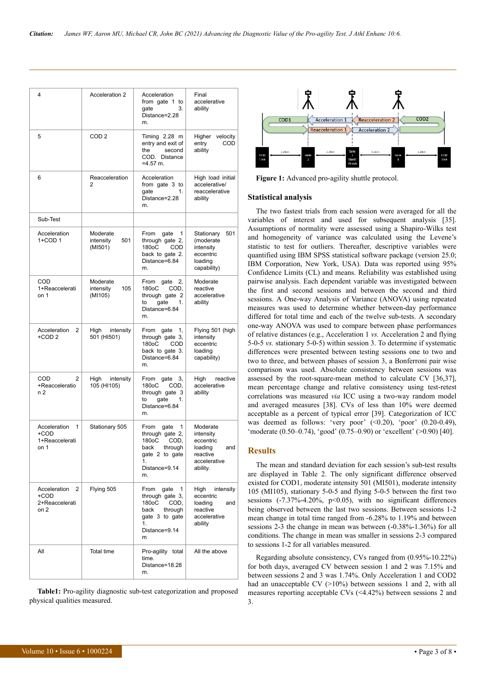| 4                                                   | Acceleration 2                          | Acceleration<br>from gate 1 to<br>3.<br>aate<br>Distance=2.28<br>m.                                                    | Final<br>accelerative<br>ability                                                             |  |  |
|-----------------------------------------------------|-----------------------------------------|------------------------------------------------------------------------------------------------------------------------|----------------------------------------------------------------------------------------------|--|--|
| 5                                                   | COD <sub>2</sub>                        | Timing 2.28 m<br>entry and exit of<br>the<br>second<br>COD. Distance<br>$=4.57$ m.                                     | velocity<br>Higher<br>entry<br><b>COD</b><br>ability                                         |  |  |
| 6                                                   | Reacceleration<br>2                     | Acceleration<br>from gate 3 to<br>aate<br>1.<br>Distance=2.28<br>m.                                                    | High load initial<br>accelerative/<br>reaccelerative<br>ability                              |  |  |
| Sub-Test                                            |                                         |                                                                                                                        |                                                                                              |  |  |
| Acceleration<br>1+COD 1                             | Moderate<br>intensity<br>501<br>(MI501) | From<br>gate<br>1<br>through gate 2,<br>180oC COD<br>back to gate 2.<br>Distance=6.84<br>m.                            | 501<br>Stationary<br>(moderate<br>intensity<br>eccentric<br>loading<br>capability)           |  |  |
| COD<br>1+Reaccelerati<br>on 1                       | Moderate<br>intensity<br>105<br>(MI105) | From gate<br>2,<br>180oC<br>COD,<br>through gate 2<br>to<br>qate<br>1.<br>Distance=6.84<br>m.                          | Moderate<br>reactive<br>accelerative<br>ability                                              |  |  |
| Acceleration<br>2<br>+COD 2                         | High<br>intensity<br>501 (HI501)        | From gate<br>1,<br>through gate 3,<br>180oC<br>COD<br>back to gate 3.<br>Distance=6.84<br>m.                           | Flying 501 (high<br>intensity<br>eccentric<br>loading<br>capability)                         |  |  |
| COD.<br>2<br>+Reacceleratio<br>n 2                  | intensity<br>High<br>105 (HI105)        | From<br>gate 3,<br>180oC<br>COD,<br>through gate 3<br>gate<br>to<br>1.<br>Distance=6.84<br>m.                          | reactive<br>High<br>accelerative<br>ability                                                  |  |  |
| Acceleration<br>1<br>+COD<br>1+Reaccelerati<br>on 1 | Stationary 505                          |                                                                                                                        | Moderate<br>intensity<br>eccentric<br>loading<br>and<br>reactive<br>accelerative<br>ability. |  |  |
| Acceleration 2<br>+COD<br>2+Reaccelerati<br>on 2    | Flying 505                              | From<br>gate<br>1<br>through gate 3,<br>180oC<br>COD,<br>through<br>back<br>gate 3 to gate<br>1.<br>Distance=9.14<br>m | High<br>intensity<br>eccentric<br>loading<br>and<br>reactive<br>accelerative<br>ability      |  |  |
| All                                                 | <b>Total time</b>                       | Pro-agility total<br>time.<br>Distance=18.28<br>m.                                                                     | All the above                                                                                |  |  |

**Table1:** Pro-agility diagnostic sub-test categorization and proposed physical qualities measured.



Figure 1: Advanced pro-agility shuttle protocol.

#### **Statistical analysis**

The two fastest trials from each session were averaged for all the variables of interest and used for subsequent analysis [35]. Assumptions of normality were assessed using a Shapiro-Wilks test and homogeneity of variance was calculated using the Levene's statistic to test for outliers. Thereafter, descriptive variables were quantified using IBM SPSS statistical software package (version 25.0; IBM Corporation, New York, USA). Data was reported using 95% Confidence Limits (CL) and means. Reliability was established using pairwise analysis. Each dependent variable was investigated between the first and second sessions and between the second and third sessions. A One-way Analysis of Variance (ANOVA) using repeated measures was used to determine whether between-day performance differed for total time and each of the twelve sub-tests. A secondary one-way ANOVA was used to compare between phase performances of relative distances (e.g., Acceleration 1 *vs.* Acceleration 2 and flying 5-0-5 *vs.* stationary 5-0-5) within session 3. To determine if systematic differences were presented between testing sessions one to two and two to three, and between phases of session 3, a Bonferroni pair wise comparison was used. Absolute consistency between sessions was assessed by the root-square-mean method to calculate CV [36,37], mean percentage change and relative consistency using test-retest correlations was measured *via* ICC using a two-way random model and averaged measures [38]. CVs of less than 10% were deemed acceptable as a percent of typical error [39]. Categorization of ICC was deemed as follows: 'very poor' (<0.20), 'poor' (0.20-0.49), 'moderate (0.50–0.74), 'good' (0.75–0.90) or 'excellent' (>0.90) [40].

# **Results**

The mean and standard deviation for each session's sub-test results are displayed in Table 2. The only significant difference observed existed for COD1, moderate intensity 501 (MI501), moderate intensity 105 (MI105), stationary 5-0-5 and flying 5-0-5 between the first two sessions (-7.37%-4.20%, p<0.05), with no significant differences being observed between the last two sessions. Between sessions 1-2 mean change in total time ranged from -6.28% to 1.19% and between sessions 2-3 the change in mean was between (-0.38%-1.36%) for all conditions. The change in mean was smaller in sessions 2-3 compared to sessions 1-2 for all variables measured.

Regarding absolute consistency, CVs ranged from (0.95%-10.22%) for both days, averaged CV between session 1 and 2 was 7.15% and between sessions 2 and 3 was 1.74%. Only Acceleration 1 and COD2 had an unacceptable CV  $(>10\%)$  between sessions 1 and 2, with all measures reporting acceptable CVs (<4.42%) between sessions 2 and 3.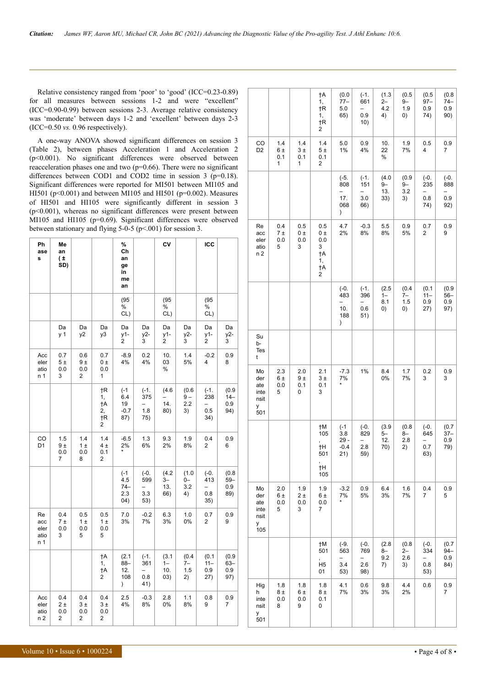Relative consistency ranged from 'poor' to 'good' (ICC=0.23-0.89) for all measures between sessions 1-2 and were "excellent"  $(ICC=0.90-0.99)$  between sessions 2-3. Average relative consistency was 'moderate' between days 1-2 and 'excellent' between days 2-3  $(ICC=0.50 \text{ vs. } 0.96 \text{ respectively}).$ 

A one-way ANOVA showed significant differences on session 3 (Table 2), between phases Acceleration 1 and Acceleration 2  $(p<0.001)$ . No significant differences were observed between reacceleration phases one and two ( $p=0.66$ ). There were no significant differences between COD1 and COD2 time in session  $3$  (p=0.18). Significant differences were reported for MI501 between MI105 and HI501 ( $p<0.001$ ) and between MI105 and HI501 ( $p=0.002$ ). Measures of HI501 and HI105 were significantly different in session 3  $(p<0.001)$ , whereas no significant differences were present between MI105 and HI105 (p=0.69). Significant differences were observed between stationary and flying  $5-0-5$  ( $p<001$ ) for session 3.

| Ph<br>ase<br>s                   | Me<br>an<br>$(\pm$<br>SD) |                                    |                                 | %<br>Ch<br>an<br>ge<br>in<br>me<br>an       |                                                         | CV                          |                            | ICC                              |                               |
|----------------------------------|---------------------------|------------------------------------|---------------------------------|---------------------------------------------|---------------------------------------------------------|-----------------------------|----------------------------|----------------------------------|-------------------------------|
|                                  |                           |                                    |                                 | (95)<br>%<br>CL)                            |                                                         | (95)<br>%<br>CL)            |                            | (95)<br>%<br>CL)                 |                               |
|                                  | Da<br>y 1                 | Da<br>y2                           | Da<br>y3                        | Da<br>y1-<br>2                              | Da<br>y2-<br>3                                          | Da<br>y1-<br>2              | Da<br>y2-<br>3             | Da<br>y1-<br>2                   | Da<br>y2-<br>3                |
| Acc<br>eler<br>atio<br>n 1       | 0.7<br>5±<br>0.0<br>3     | 0.6<br>9±<br>0.0<br>2              | 0.7<br>0 ±<br>0.0<br>1          | $-8.9$<br>4%                                | 0.2<br>4%                                               | 10.<br>03<br>$\%$           | 1.4<br>5%                  | $-0.2$<br>4                      | 0.9<br>8                      |
|                                  |                           |                                    | †R<br>1,<br>†Α<br>2,<br>†R<br>2 | $(-1)$<br>6.4<br>19<br>$-0.7$<br>87)        | $(-1.$<br>375<br>1.8<br>75)                             | (4.6)<br>14.<br>80)         | (0.6)<br>$9-$<br>2.2<br>3) | $(-1.$<br>238<br>0.5<br>34)      | (0.9)<br>$14-$<br>0.9<br>94)  |
| CO<br>D1                         | 1.5<br>9±<br>0.0<br>7     | 1.4<br>1±<br>0.0<br>8              | 1.4<br>4±<br>0.1<br>2           | $-6.5$<br>2%<br>*                           | 1.3<br>6%                                               | 9.3<br>2%                   | 1.9<br>8%                  | 0.4<br>2                         | 0.9<br>6                      |
|                                  |                           |                                    |                                 | $(-1)$<br>4.5<br>$74-$<br>2.3<br>(04)       | $(-0.$<br>599<br>3.3<br>53)                             | (4.2)<br>3–<br>13.<br>66)   | (1.0)<br>0-<br>3.2<br>4)   | $(-0.$<br>413<br>-<br>0.8<br>35) | (0.8)<br>$59 -$<br>0.9<br>89) |
| Re<br>acc<br>eler<br>atio<br>n 1 | 0.4<br>7 ±<br>0.0<br>3    | 0.5<br>1 ±<br>0.0<br>5             | 0.5<br>1 ±<br>0.0<br>5          | 7.0<br>3%                                   | $-0.2$<br>7%                                            | 6.3<br>3%                   | 1.0<br>0%                  | 0.7<br>2                         | 0.9<br>9                      |
|                                  |                           |                                    | †A<br>1,<br>†A<br>2             | (2.1)<br>88-<br>12.<br>108<br>$\mathcal{E}$ | $(-1.$<br>361<br>$\overline{\phantom{0}}$<br>0.8<br>41) | (3.1)<br>$1-$<br>10.<br>03) | (0.4)<br>7–<br>1.5<br>2)   | (0.1)<br>$11 -$<br>0.9<br>27)    | (0.9)<br>$63 -$<br>0.9<br>97) |
| Acc<br>eler<br>atio<br>n 2       | 0.4<br>2±<br>0.0<br>2     | 0.4<br>3±<br>0.0<br>$\overline{c}$ | 0.4<br>3±<br>0.0<br>2           | 2.5<br>4%                                   | $-0.3$<br>8%                                            | 2.8<br>0%                   | 1.1<br>8%                  | 0.8<br>9                         | 0.9<br>7                      |

|                                              |                        |                            | †A<br>1,<br>†R<br>1,<br>†R<br>2                            | (0.0)<br>77–<br>5.0<br>65)                                               | $(-1.$<br>661<br>-<br>0.9<br>10) | (1.3)<br>$2-$<br>4.2<br>4)  | (0.5)<br>$9-$<br>1.9<br>0)  | (0.5)<br>$97 -$<br>0.9<br>74)                           | (0.8)<br>$74 -$<br>0.9<br>90)                           |
|----------------------------------------------|------------------------|----------------------------|------------------------------------------------------------|--------------------------------------------------------------------------|----------------------------------|-----------------------------|-----------------------------|---------------------------------------------------------|---------------------------------------------------------|
| CO<br>D <sub>2</sub>                         | 1.4<br>6±<br>0.1<br>1  | 1.4<br>3±<br>0.1<br>1      | 1.4<br>5±<br>0.1<br>$\overline{c}$                         | 5.0<br>1%                                                                | 0.9<br>4%                        | 10.<br>22<br>%              | 1.9<br>7%                   | 0.5<br>4                                                | 0.9<br>7                                                |
|                                              |                        |                            |                                                            | $(-5.$<br>808<br>$\overline{\phantom{0}}$<br>17.<br>068<br>$\mathcal{E}$ | $(-1.$<br>151<br>-<br>3.0<br>66) | (4.0)<br>$9-$<br>13.<br>33) | (0.9)<br>9-<br>3.2<br>3)    | $(-0.$<br>235<br>$\overline{\phantom{0}}$<br>0.8<br>74) | $(-0.$<br>888<br>$\overline{\phantom{0}}$<br>0.9<br>92) |
| Re<br>acc<br>eler<br>atio<br>n <sub>2</sub>  | 0.4<br>7±<br>0.0<br>5  | 0.5<br>$0 \pm$<br>0.0<br>3 | 0.5<br>$0 \pm$<br>0.0<br>3<br>†A<br>1,<br>$\dagger$ A<br>2 | 4.7<br>2%                                                                | $-0.3$<br>8%                     | 5.5<br>8%                   | 0.9<br>5%                   | 0.7<br>2                                                | 0.9<br>9                                                |
|                                              |                        |                            |                                                            | $(-0.$<br>483<br>-<br>10.<br>188<br>$\mathcal{C}$                        | $(-1.$<br>396<br>0.6<br>51)      | (2.5)<br>$1-$<br>8.1<br>0)  | (0.4)<br>7–<br>1.5<br>0)    | (0.1)<br>$11 -$<br>0.9<br>27)                           | (0.9)<br>$56-$<br>0.9<br>97)                            |
| Su<br>b-<br>Tes<br>t                         |                        |                            |                                                            |                                                                          |                                  |                             |                             |                                                         |                                                         |
| Mo<br>der<br>ate<br>inte<br>nsit<br>у<br>501 | 2.3<br>6±<br>0.0<br>5  | 2.0<br>9±<br>0.1<br>0      | 2.1<br>3±<br>0.1<br>3                                      | $-7.3$<br>7%                                                             | 1%                               | 8.4<br>0%                   | 1.7<br>7%                   | 0.2<br>3                                                | 0.9<br>3                                                |
|                                              |                        |                            | †Μ<br>105<br>†Η<br>501<br>†Η<br>105                        | $(-1)$<br>3.8<br>$29 -$<br>$-0.4$<br>21)                                 | $(-0.$<br>829<br>2.8<br>59)      | (3.9)<br>$5-$<br>12.<br>70) | (0.8)<br>$8-$<br>2.8<br>2)  | $(-0.$<br>645<br>0.7<br>63)                             | (0.7)<br>$37 -$<br>0.9<br>79)                           |
| Mo<br>der<br>ate<br>inte<br>nsit<br>у<br>105 | 2.0<br>6±<br>0.0<br>5  | 1.9<br>2 ±<br>0.0<br>3     | 1.9<br>6 ±<br>0.0<br>7                                     | $-3.2$<br>7%<br>*                                                        | 0.9<br>5%                        | 6.4<br>3%                   | 1.6<br>7%                   | 0.4<br>7                                                | 0.9<br>5                                                |
|                                              |                        |                            | †Μ<br>501<br>H5<br>01                                      | $(-9)$<br>563<br>-<br>3.4<br>53)                                         | $(-0.$<br>769<br>2.6<br>98)      | (2.8)<br>$8-$<br>9.2<br>7)  | (0.8)<br>$2 -$<br>2.6<br>3) | $(-0.$<br>334<br>0.8<br>53)                             | (0.7)<br>$94 -$<br>0.9<br>84)                           |
| Hig<br>h<br>inte<br>nsit<br>у<br>501         | 1.8<br>8 ±<br>0.0<br>8 | $1.8$<br>6 ±<br>0.0<br>9   | 1.8<br>8 ±<br>0.1<br>0                                     | 4.1<br>7%                                                                | 0.6<br>3%                        | 9.8<br>3%                   | 4.4<br>2%                   | 0.6                                                     | 0.9<br>7                                                |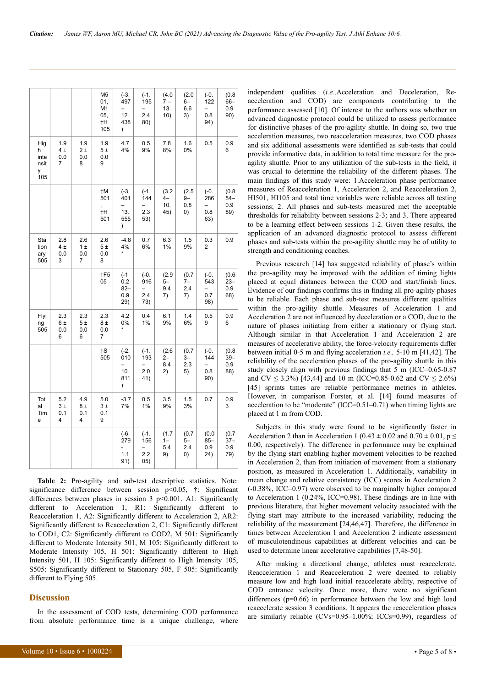|                                      |                        |                       | M <sub>5</sub><br>01,<br>M1<br>05,<br>†Η<br>105 | $(-3)$<br>497<br>-<br>12.<br>438<br>$\mathcal{E}$   | $(-1)$<br>195<br>2.4<br>80)  | (4.0)<br>7 –<br>13.<br>10)  | (2.0)<br>$6-$<br>6.6<br>3)  | $(-0.$<br>122<br>0.8<br>94)                             | (0.8)<br>$66 -$<br>0.9<br>90) |
|--------------------------------------|------------------------|-----------------------|-------------------------------------------------|-----------------------------------------------------|------------------------------|-----------------------------|-----------------------------|---------------------------------------------------------|-------------------------------|
| Hig<br>h<br>inte<br>nsit<br>у<br>105 | 1.9<br>4±<br>0.0<br>7  | 1.9<br>2±<br>0.0<br>8 | 1.9<br>5±<br>0.0<br>9                           | 4.7<br>4%                                           | 0.5<br>9%                    | 7.8<br>8%                   | 1.6<br>0%                   | 0.5                                                     | 0.9<br>6                      |
|                                      |                        |                       | †Μ<br>501<br>†Η<br>501                          | $(-3)$ .<br>401<br>-<br>13.<br>555<br>$\mathcal{E}$ | $(-1.$<br>144<br>2.3<br>53)  | (3.2)<br>$4-$<br>10.<br>45) | (2.5)<br>9–<br>0.8<br>0)    | $(-0.$<br>286<br>0.8<br>63)                             | (0.8)<br>$54-$<br>0.9<br>89)  |
| Sta<br>tion<br>ary<br>505            | 2.8<br>4 ±<br>0.0<br>3 | 2.6<br>1±<br>0.0<br>7 | 2.6<br>5±<br>0.0<br>8                           | $-4.8$<br>4%                                        | 0.7<br>6%                    | 6.3<br>1%                   | 1.5<br>9%                   | 0.3<br>2                                                | 0.9                           |
|                                      |                        |                       | †F5<br>05                                       | $(-1)$<br>0.2<br>$82 -$<br>0.9<br>29)               | $(-0.$<br>916<br>2.4<br>73)  | (2.9)<br>5–<br>9.4<br>7)    | (0.7)<br>7–<br>2.4<br>7)    | $(-0.$<br>543<br>—<br>0.7<br>98)                        | (0.6)<br>$23 -$<br>0.9<br>68) |
| Flyi<br>ng<br>505                    | 2.3<br>6±<br>0.0<br>6  | 2.3<br>5±<br>0.0<br>6 | 2.3<br>8±<br>0.0<br>7                           | 4.2<br>0%                                           | 0.4<br>1%                    | 6.1<br>9%                   | 1.4<br>6%                   | 0.5<br>9                                                | 0.9<br>6                      |
|                                      |                        |                       | $\dagger$ S<br>505                              | $(-2.$<br>010<br>-<br>10.<br>811<br>$\mathcal{E}$   | $(-1.$<br>193<br>2.0<br>41)  | (2.6)<br>2–<br>8.4<br>2)    | (0.7)<br>3–<br>2.3<br>5)    | $(-0.$<br>144<br>$\overline{\phantom{0}}$<br>0.8<br>90) | (0.8)<br>$39 -$<br>0.9<br>88) |
| Tot<br>al<br>Tim<br>e                | 5.2<br>3±<br>0.1<br>4  | 4.9<br>8±<br>0.1<br>4 | 5.0<br>3±<br>0.1<br>9                           | $-3.7$<br>7%                                        | 0.5<br>1%                    | 3.5<br>9%                   | 1.5<br>3%                   | 0.7                                                     | 0.9<br>3                      |
|                                      |                        |                       |                                                 | (-6.<br>279<br>1.1<br>91)                           | $(-1.$<br>156<br>2.2<br>(05) | (1.7)<br>$1 -$<br>5.4<br>9) | (0.7)<br>$5-$<br>2.4<br>(0) | (0.0)<br>$85 -$<br>0.9<br>24)                           | (0.7)<br>$37-$<br>0.9<br>79)  |

Table 2: Pro-agility and sub-test descriptive statistics. Note: significance difference between session  $p<0.05$ ,  $\ddagger$ : Significant differences between phases in session  $3$  p<0.001. A1: Significantly different to Acceleration 1, R1: Significantly different to Reacceleration 1, A2: Significantly different to Acceleration 2, AR2: Significantly different to Reacceleration 2, C1: Significantly different to COD1, C2: Significantly different to COD2, M 501: Significantly different to Moderate Intensity 501, M 105: Significantly different to Moderate Intensity 105, H 501: Significantly different to High Intensity 501, H 105: Significantly different to High Intensity 105, S505: Significantly different to Stationary 505, F 505: Significantly different to Flying 505.

#### **Discussion**

In the assessment of COD tests, determining COD performance from absolute performance time is a unique challenge, where

independent qualities (i.e., Acceleration and Deceleration, Reacceleration and COD) are components contributing to the performance assessed [10]. Of interest to the authors was whether an advanced diagnostic protocol could be utilized to assess performance for distinctive phases of the pro-agility shuttle. In doing so, two true acceleration measures, two reacceleration measures, two COD phases and six additional assessments were identified as sub-tests that could provide informative data, in addition to total time measure for the proagility shuttle. Prior to any utilization of the sub-tests in the field, it was crucial to determine the reliability of the different phases. The main findings of this study were: 1.Acceleration phase performance measures of Reacceleration 1, Acceleration 2, and Reacceleration 2, HI501, HI105 and total time variables were reliable across all testing sessions; 2. All phases and sub-tests measured met the acceptable thresholds for reliability between sessions 2-3; and 3. There appeared to be a learning effect between sessions 1-2. Given these results, the application of an advanced diagnostic protocol to assess different phases and sub-tests within the pro-agility shuttle may be of utility to strength and conditioning coaches.

Previous research [14] has suggested reliability of phase's within the pro-agility may be improved with the addition of timing lights placed at equal distances between the COD and start/finish lines. Evidence of our findings confirms this in finding all pro-agility phases to be reliable. Each phase and sub-test measures different qualities within the pro-agility shuttle. Measures of Acceleration 1 and Acceleration 2 are not influenced by deceleration or a COD, due to the nature of phases initiating from either a stationary or flying start. Although similar in that Acceleration 1 and Acceleration 2 are measures of accelerative ability, the force-velocity requirements differ between initial 0-5 m and flying acceleration *i.e.*, 5-10 m [41,42]. The reliability of the acceleration phases of the pro-agility shuttle in this study closely align with previous findings that 5 m (ICC=0.65-0.87 and CV  $\leq$  3.3%) [43,44] and 10 m (ICC=0.85-0.62 and CV  $\leq$  2.6%) [45] sprints times are reliable performance metrics in athletes. However, in comparison Forster, et al. [14] found measures of acceleration to be "moderate" (ICC=0.51-0.71) when timing lights are placed at 1 m from COD.

Subjects in this study were found to be significantly faster in Acceleration 2 than in Acceleration 1 (0.43  $\pm$  0.02 and 0.70  $\pm$  0.01, p  $\le$ 0.00, respectively). The difference in performance may be explained by the flying start enabling higher movement velocities to be reached in Acceleration 2, than from initiation of movement from a stationary position, as measured in Acceleration 1. Additionally, variability in mean change and relative consistency (ICC) scores in Acceleration 2  $(-0.38\%$ , ICC=0.97) were observed to be marginally higher compared to Acceleration 1 (0.24%, ICC=0.98). These findings are in line with previous literature, that higher movement velocity associated with the flying start may attribute to the increased variability, reducing the reliability of the measurement [24,46,47]. Therefore, the difference in times between Acceleration 1 and Acceleration 2 indicate assessment of musculotendinous capabilities at different velocities and can be used to determine linear accelerative capabilities [7,48-50].

After making a directional change, athletes must reaccelerate. Reacceleration 1 and Reacceleration 2 were deemed to reliably measure low and high load initial reaccelerate ability, respective of COD entrance velocity. Once more, there were no significant differences ( $p=0.66$ ) in performance between the low and high load reaccelerate session 3 conditions. It appears the reacceleration phases are similarly reliable ( $CVs=0.95-1.00\%$ ; ICCs=0.99), regardless of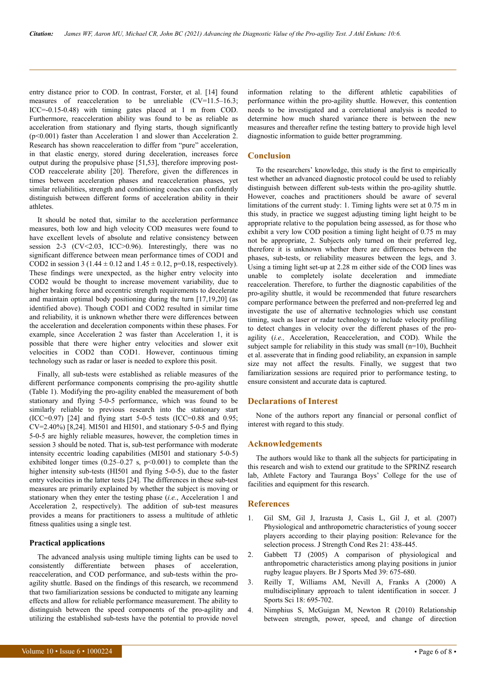entry distance prior to COD. In contrast, Forster, et al. [14] found measures of reacceleration to be unreliable (CV=11.5–16.3; ICC=-0.15-0.48) with timing gates placed at 1 m from COD. Furthermore, reacceleration ability was found to be as reliable as acceleration from stationary and flying starts, though significantly (p<0.001) faster than Acceleration 1 and slower than Acceleration 2. Research has shown reacceleration to differ from "pure" acceleration, in that elastic energy, stored during deceleration, increases force output during the propulsive phase [51,53], therefore improving post-COD reaccelerate ability [20]. Therefore, given the differences in times between acceleration phases and reacceleration phases, yet similar reliabilities, strength and conditioning coaches can confidently distinguish between different forms of acceleration ability in their athletes.

It should be noted that, similar to the acceleration performance measures, both low and high velocity COD measures were found to have excellent levels of absolute and relative consistency between session 2-3 (CV<2.03, ICC>0.96). Interestingly, there was no significant difference between mean performance times of COD1 and COD2 in session 3 (1.44  $\pm$  0.12 and 1.45  $\pm$  0.12, p=0.18, respectively). These findings were unexpected, as the higher entry velocity into COD2 would be thought to increase movement variability, due to higher braking force and eccentric strength requirements to decelerate and maintain optimal body positioning during the turn [17,19,20] (as identified above). Though COD1 and COD2 resulted in similar time and reliability, it is unknown whether there were differences between the acceleration and deceleration components within these phases. For example, since Acceleration 2 was faster than Acceleration 1, it is possible that there were higher entry velocities and slower exit velocities in COD2 than COD1. However, continuous timing technology such as radar or laser is needed to explore this posit.

Finally, all sub-tests were established as reliable measures of the different performance components comprising the pro-agility shuttle (Table 1). Modifying the pro-agility enabled the measurement of both stationary and flying 5-0-5 performance, which was found to be similarly reliable to previous research into the stationary start (ICC=0.97) [24] and flying start 5-0-5 tests (ICC=0.88 and 0.95; CV=2.40%) [8,24]. MI501 and HI501, and stationary 5-0-5 and flying 5-0-5 are highly reliable measures, however, the completion times in session 3 should be noted. That is, sub-test performance with moderate intensity eccentric loading capabilities (MI501 and stationary 5-0-5) exhibited longer times  $(0.25-0.27 \text{ s}, \text{p} < 0.001)$  to complete than the higher intensity sub-tests (HI501 and flying 5-0-5), due to the faster entry velocities in the latter tests [24]. The differences in these sub-test measures are primarily explained by whether the subject is moving or stationary when they enter the testing phase (*i.e.*, Acceleration 1 and Acceleration 2, respectively). The addition of sub-test measures provides a means for practitioners to assess a multitude of athletic fitness qualities using a single test.

#### **Practical applications**

The advanced analysis using multiple timing lights can be used to consistently differentiate between phases of acceleration, reacceleration, and COD performance, and sub-tests within the proagility shuttle. Based on the findings of this research, we recommend that two familiarization sessions be conducted to mitigate any learning effects and allow for reliable performance measurement. The ability to distinguish between the speed components of the pro-agility and utilizing the established sub-tests have the potential to provide novel

Volume  $10 \cdot \text{Is}$ sue  $6 \cdot 1000224$   $\cdot$  Page 6 of 8  $\cdot$ 

information relating to the different athletic capabilities of performance within the pro-agility shuttle. However, this contention needs to be investigated and a correlational analysis is needed to determine how much shared variance there is between the new measures and thereafter refine the testing battery to provide high level diagnostic information to guide better programming.

# **Conclusion**

To the researchers' knowledge, this study is the first to empirically test whether an advanced diagnostic protocol could be used to reliably distinguish between different sub-tests within the pro-agility shuttle. However, coaches and practitioners should be aware of several limitations of the current study: 1. Timing lights were set at 0.75 m in this study, in practice we suggest adjusting timing light height to be appropriate relative to the population being assessed, as for those who exhibit a very low COD position a timing light height of 0.75 m may not be appropriate, 2. Subjects only turned on their preferred leg, therefore it is unknown whether there are differences between the phases, sub-tests, or reliability measures between the legs, and 3. Using a timing light set-up at 2.28 m either side of the COD lines was unable to completely isolate deceleration and immediate reacceleration. Therefore, to further the diagnostic capabilities of the pro-agility shuttle, it would be recommended that future researchers compare performance between the preferred and non-preferred leg and investigate the use of alternative technologies which use constant timing, such as laser or radar technology to include velocity profiling to detect changes in velocity over the different phases of the proagility (*i.e.,* Acceleration, Reacceleration, and COD). While the subject sample for reliability in this study was small ( $n=10$ ), Buchheit et al. asseverate that in finding good reliability, an expansion in sample size may not affect the results. Finally, we suggest that two familiarization sessions are required prior to performance testing, to ensure consistent and accurate data is captured.

#### **Declarations of Interest**

None of the authors report any financial or personal conflict of interest with regard to this study.

#### **Acknowledgements**

The authors would like to thank all the subjects for participating in this research and wish to extend our gratitude to the SPRINZ research lab, Athlete Factory and Tauranga Boys' College for the use of facilities and equipment for this research.

# **References**

- 1. Gil SM, Gil J, Irazusta J, Casis L, Gil J, et al. (2007) Physiological and anthropometric characteristics of young soccer players according to their playing position: Relevance for the selection process. J Strength Cond Res 21: 438-445.
- 2. [Gabbett TJ \(2005\) A comparison of physiological and](https://bjsm.bmj.com/content/39/9/675) [anthropometric characteristics among playing positions in junior](https://bjsm.bmj.com/content/39/9/675) [rugby league players. Br J Sports Med 39: 675-680.](https://bjsm.bmj.com/content/39/9/675)
- 3. [Reilly T, Williams AM, Nevill A, Franks A \(2000\) A](https://www.tandfonline.com/doi/abs/10.1080/02640410050120078) [multidisciplinary approach to talent identification in soccer. J](https://www.tandfonline.com/doi/abs/10.1080/02640410050120078) [Sports Sci 18: 695-702.](https://www.tandfonline.com/doi/abs/10.1080/02640410050120078)
- 4. [Nimphius S, McGuigan M, Newton R \(2010\) Relationship](https://journals.lww.com/nsca-jscr/Fulltext/2010/04000/Relationship_Between_Strength,_Power,_Speed,_and.1.aspx) [between strength, power, speed, and change of direction](https://journals.lww.com/nsca-jscr/Fulltext/2010/04000/Relationship_Between_Strength,_Power,_Speed,_and.1.aspx)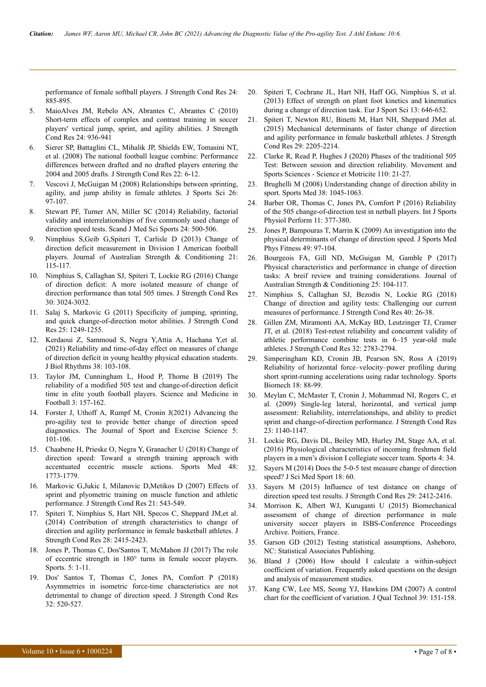[performance of female softball players. J Strength Cond Res 24:](https://journals.lww.com/nsca-jscr/Fulltext/2010/04000/Relationship_Between_Strength,_Power,_Speed,_and.1.aspx) [885-895.](https://journals.lww.com/nsca-jscr/Fulltext/2010/04000/Relationship_Between_Strength,_Power,_Speed,_and.1.aspx)

- 5. [MaioAlves JM, Rebelo AN, Abrantes C, Abrantes C \(2010\)](https://journals.lww.com/nsca-jscr/Fulltext/2010/04000/Short_Term_Effects_of_Complex_and_Contrast.7.aspx) [Short-term effects of complex and contrast training in soccer](https://journals.lww.com/nsca-jscr/Fulltext/2010/04000/Short_Term_Effects_of_Complex_and_Contrast.7.aspx) [players' vertical jump, sprint, and agility abilities. J Strength](https://journals.lww.com/nsca-jscr/Fulltext/2010/04000/Short_Term_Effects_of_Complex_and_Contrast.7.aspx) [Cond Res 24: 936-941](https://journals.lww.com/nsca-jscr/Fulltext/2010/04000/Short_Term_Effects_of_Complex_and_Contrast.7.aspx)
- 6. [Sierer SP, Battaglini CL, Mihalik JP, Shields EW, Tomasini NT,](https://journals.lww.com/nsca-jscr/Fulltext/2008/01000/The_National_Football_League_Combine__Performance.3.aspx) [et al. \(2008\) The national football league combine: Performance](https://journals.lww.com/nsca-jscr/Fulltext/2008/01000/The_National_Football_League_Combine__Performance.3.aspx) [differences between drafted and no drafted players entering the](https://journals.lww.com/nsca-jscr/Fulltext/2008/01000/The_National_Football_League_Combine__Performance.3.aspx) [2004 and 2005 drafts. J Strength Cond Res 22: 6-12.](https://journals.lww.com/nsca-jscr/Fulltext/2008/01000/The_National_Football_League_Combine__Performance.3.aspx)
- 7. [Vescovi J, McGuigan M \(2008\) Relationships between sprinting,](https://www.tandfonline.com/doi/abs/10.1080/02640410701348644?journalCode=rjsp20) [agility, and jump ability in female athletes. J Sports Sci 26:](https://www.tandfonline.com/doi/abs/10.1080/02640410701348644?journalCode=rjsp20) [97-107.](https://www.tandfonline.com/doi/abs/10.1080/02640410701348644?journalCode=rjsp20)
- 8. [Stewart PF, Turner AN, Miller SC \(2014\) Reliability, factorial](https://onlinelibrary.wiley.com/doi/abs/10.1111/sms.12019) [validity and interrelationships of five commonly used change of](https://onlinelibrary.wiley.com/doi/abs/10.1111/sms.12019) [direction speed tests. Scand J Med Sci Sports 24: 500-506.](https://onlinelibrary.wiley.com/doi/abs/10.1111/sms.12019)
- 9. [Nimphius S,Geib G,Spiteri T, Carlisle D \(2013\) Change of](https://ro.ecu.edu.au/ecuworks2013/287/) [direction deficit measurement in Division I American football](https://ro.ecu.edu.au/ecuworks2013/287/) [players. Journal of Australian Strength & Conditioning 21:](https://ro.ecu.edu.au/ecuworks2013/287/) [115-117.](https://ro.ecu.edu.au/ecuworks2013/287/)
- 10. [Nimphius S, Callaghan SJ, Spiteri T, Lockie RG \(2016\) Change](https://journals.lww.com/nsca-jscr/fulltext/2016/11000/change_of_direction_deficit__a_more_isolated.8.aspx) [of direction deficit: A more isolated measure of change of](https://journals.lww.com/nsca-jscr/fulltext/2016/11000/change_of_direction_deficit__a_more_isolated.8.aspx) [direction performance than total 505 times. J Strength Cond Res](https://journals.lww.com/nsca-jscr/fulltext/2016/11000/change_of_direction_deficit__a_more_isolated.8.aspx) [30: 3024-3032.](https://journals.lww.com/nsca-jscr/fulltext/2016/11000/change_of_direction_deficit__a_more_isolated.8.aspx)
- 11. [Salaj S, Markovic G \(2011\) Specificity of jumping, sprinting,](https://journals.lww.com/nsca-jscr/Fulltext/2011/05000/Specificity_of_Jumping,_Sprinting,_and_Quick.9.aspx) [and quick change-of-direction motor abilities. J Strength Cond](https://journals.lww.com/nsca-jscr/Fulltext/2011/05000/Specificity_of_Jumping,_Sprinting,_and_Quick.9.aspx) [Res 25: 1249-1255.](https://journals.lww.com/nsca-jscr/Fulltext/2011/05000/Specificity_of_Jumping,_Sprinting,_and_Quick.9.aspx)
- 12. [Kerdaoui Z, Sammoud S, Negra Y,Attia A, Hachana Y,et al.](https://www.tandfonline.com/doi/abs/10.1080/07420528.2020.1839091?journalCode=icbi20) [\(2021\) Reliability and time-of-day effect on measures of change](https://www.tandfonline.com/doi/abs/10.1080/07420528.2020.1839091?journalCode=icbi20) [of direction deficit in young healthy physical education students.](https://www.tandfonline.com/doi/abs/10.1080/07420528.2020.1839091?journalCode=icbi20) [J Biol Rhythms 38: 103-108.](https://www.tandfonline.com/doi/abs/10.1080/07420528.2020.1839091?journalCode=icbi20)
- 13. [Taylor JM, Cunningham L, Hood P, Thorne B \(2019\) The](https://www.tandfonline.com/doi/abs/10.1080/24733938.2018.1526402) [reliability of a modified 505 test and change-of-direction deficit](https://www.tandfonline.com/doi/abs/10.1080/24733938.2018.1526402) [time in elite youth football players. Science and Medicine in](https://www.tandfonline.com/doi/abs/10.1080/24733938.2018.1526402) [Football 3: 157-162.](https://www.tandfonline.com/doi/abs/10.1080/24733938.2018.1526402)
- 14. [Forster J, Uthoff A, Rumpf M, Cronin J\(2021\) Advancing the](https://sesnz.org.nz/wp-content/uploads/2021/02/Forster-et-al.-2021.pdf) [pro-agility test to provide better change of direction speed](https://sesnz.org.nz/wp-content/uploads/2021/02/Forster-et-al.-2021.pdf) [diagnostics. The Journal of Sport and Exercise Science 5:](https://sesnz.org.nz/wp-content/uploads/2021/02/Forster-et-al.-2021.pdf) [101-106.](https://sesnz.org.nz/wp-content/uploads/2021/02/Forster-et-al.-2021.pdf)
- 15. [Chaabene H, Prieske O, Negra Y, Granacher U \(2018\) Change of](https://link.springer.com/article/10.1007%2Fs40279-018-0907-3) [direction speed: Toward a strength training approach with](https://link.springer.com/article/10.1007%2Fs40279-018-0907-3) [accentuated eccentric muscle actions. Sports Med 48:](https://link.springer.com/article/10.1007%2Fs40279-018-0907-3) [1773-1779.](https://link.springer.com/article/10.1007%2Fs40279-018-0907-3)
- 16. [Markovic G,Jukic I, Milanovic D,Metikos D \(2007\) Effects of](https://cpb-eu-w2.wpmucdn.com/sites.marjon.ac.uk/dist/1/212/files/2016/03/0046352d146576530f000000-1zo9u5p.pdf) [sprint and plyometric training on muscle function and athletic](https://cpb-eu-w2.wpmucdn.com/sites.marjon.ac.uk/dist/1/212/files/2016/03/0046352d146576530f000000-1zo9u5p.pdf) [performance. J Strength Cond Res 21: 543-549.](https://cpb-eu-w2.wpmucdn.com/sites.marjon.ac.uk/dist/1/212/files/2016/03/0046352d146576530f000000-1zo9u5p.pdf)
- 17. [Spiteri T, Nimphius S, Hart NH, Specos C, Sheppard JM,et al.](https://journals.lww.com/nsca-jscr/Fulltext/2014/09000/Contribution_of_Strength_Characteristics_to_Change.4.aspx) [\(2014\) Contribution of strength characteristics to change of](https://journals.lww.com/nsca-jscr/Fulltext/2014/09000/Contribution_of_Strength_Characteristics_to_Change.4.aspx) [direction and agility performance in female basketball athletes. J](https://journals.lww.com/nsca-jscr/Fulltext/2014/09000/Contribution_of_Strength_Characteristics_to_Change.4.aspx) [Strength Cond Res 28: 2415-2423.](https://journals.lww.com/nsca-jscr/Fulltext/2014/09000/Contribution_of_Strength_Characteristics_to_Change.4.aspx)
- 18. [Jones P, Thomas C, Dos'Santos T, McMahon JJ \(2017\) The role](https://www.sponet.de/Record/4046237) [of eccentric strength in 180° turns in female soccer players.](https://www.sponet.de/Record/4046237) [Sports. 5: 1-11.](https://www.sponet.de/Record/4046237)
- 19. [Dos' Santos T, Thomas C, Jones PA, Comfort P \(2018\)](https://journals.lww.com/nsca-jscr/fulltext/2018/02000/asymmetries_in_isometric_force_time.27.aspx) [Asymmetries in isometric force-time characteristics are not](https://journals.lww.com/nsca-jscr/fulltext/2018/02000/asymmetries_in_isometric_force_time.27.aspx) [detrimental to change of direction speed. J Strength Cond Res](https://journals.lww.com/nsca-jscr/fulltext/2018/02000/asymmetries_in_isometric_force_time.27.aspx) [32: 520-527.](https://journals.lww.com/nsca-jscr/fulltext/2018/02000/asymmetries_in_isometric_force_time.27.aspx)
- 20. [Spiteri T, Cochrane JL, Hart NH, Haff GG, Nimphius S, et al.](https://www.cochranelibrary.com/central/doi/10.1002/central/CN-01002725/full) [\(2013\) Effect of strength on plant foot kinetics and kinematics](https://www.cochranelibrary.com/central/doi/10.1002/central/CN-01002725/full) [during a change of direction task. Eur J Sport Sci 13: 646-652.](https://www.cochranelibrary.com/central/doi/10.1002/central/CN-01002725/full)
- 21. [Spiteri T, Newton RU, Binetti M, Hart NH, Sheppard JMet al.](https://journals.lww.com/nsca-jscr/FullText/2015/08000/Mechanical_Determinants_of_Faster_Change_of.16.aspx) [\(2015\) Mechanical determinants of faster change of direction](https://journals.lww.com/nsca-jscr/FullText/2015/08000/Mechanical_Determinants_of_Faster_Change_of.16.aspx) [and agility performance in female basketball athletes. J Strength](https://journals.lww.com/nsca-jscr/FullText/2015/08000/Mechanical_Determinants_of_Faster_Change_of.16.aspx) [Cond Res 29: 2205-2214.](https://journals.lww.com/nsca-jscr/FullText/2015/08000/Mechanical_Determinants_of_Faster_Change_of.16.aspx)
- 22. [Clarke R, Read P, Hughes J \(2020\) Phases of the traditional 505](https://www.mov-sport-sciences.org/articles/sm/abs/2020/04/sm200033/sm200033.html) [Test: Between session and direction reliability. Movement and](https://www.mov-sport-sciences.org/articles/sm/abs/2020/04/sm200033/sm200033.html) [Sports Sciences - Science et Motricite 110: 21-27.](https://www.mov-sport-sciences.org/articles/sm/abs/2020/04/sm200033/sm200033.html)
- 23. [Brughelli M \(2008\) Understanding change of direction ability in](https://link.springer.com/article/10.2165/00007256-200838120-00007) [sport. Sports Med 38: 1045-1063.](https://link.springer.com/article/10.2165/00007256-200838120-00007)
- 24. [Barber OR, Thomas C, Jones PA, Comfort P \(2016\) Reliability](http://usir.salford.ac.uk/id/eprint/38839/7/Reliability%20of%20the%20505%20Change%20of%20Direction%20Test%20in%20Netball%20Players%20-%20USIR.pdf) [of the 505 change-of-direction test in netball players. Int J Sports](http://usir.salford.ac.uk/id/eprint/38839/7/Reliability%20of%20the%20505%20Change%20of%20Direction%20Test%20in%20Netball%20Players%20-%20USIR.pdf) [Physiol Perform 11: 377-380.](http://usir.salford.ac.uk/id/eprint/38839/7/Reliability%20of%20the%20505%20Change%20of%20Direction%20Test%20in%20Netball%20Players%20-%20USIR.pdf)
- 25. [Jones P, Bampouras T, Marrin K \(2009\) An investigation into the](https://repository.globethics.net/handle/20.500.12424/923656) [physical determinants of change of direction speed. J Sports Med](https://repository.globethics.net/handle/20.500.12424/923656) [Phys Fitness 49: 97-104.](https://repository.globethics.net/handle/20.500.12424/923656)
- 26. [Bourgeois FA, Gill ND, McGuigan M, Gamble P \(2017\)](https://www.iat.uni-leipzig.de/datenbanken/iks/sponet/Record/4049877) [Physical characteristics and performance in change of direction](https://www.iat.uni-leipzig.de/datenbanken/iks/sponet/Record/4049877) [tasks: A breif review and training considerations. Journal of](https://www.iat.uni-leipzig.de/datenbanken/iks/sponet/Record/4049877) [Australian Strength & Conditioning 25: 104-117.](https://www.iat.uni-leipzig.de/datenbanken/iks/sponet/Record/4049877)
- 27. [Nimphius S, Callaghan SJ, Bezodis N, Lockie RG \(2018\)](https://journals.lww.com/nsca-scj/fulltext/2018/02000/change_of_direction_and_agility_tests__challenging.4.aspx) [Change of direction and agility tests: Challenging our current](https://journals.lww.com/nsca-scj/fulltext/2018/02000/change_of_direction_and_agility_tests__challenging.4.aspx) [measures of performance. J Strength Cond Res 40: 26-38.](https://journals.lww.com/nsca-scj/fulltext/2018/02000/change_of_direction_and_agility_tests__challenging.4.aspx)
- 28. [Gillen ZM, Miramonti AA, McKay BD, Leutzinger TJ, Cramer](https://journals.lww.com/nsca-jscr/Abstract/2018/10000/Test_Retest_Reliability_and_Concurrent_Validity_of.12.aspx) [JT, et al. \(2018\) Test-retest reliability and concurrent validity of](https://journals.lww.com/nsca-jscr/Abstract/2018/10000/Test_Retest_Reliability_and_Concurrent_Validity_of.12.aspx) [athletic performance combine tests in 6–15 year-old male](https://journals.lww.com/nsca-jscr/Abstract/2018/10000/Test_Retest_Reliability_and_Concurrent_Validity_of.12.aspx) [athletes. J Strength Cond Res 32: 2783-2794.](https://journals.lww.com/nsca-jscr/Abstract/2018/10000/Test_Retest_Reliability_and_Concurrent_Validity_of.12.aspx)
- 29. [Simperingham KD, Cronin JB, Pearson SN, Ross A \(2019\)](https://www.tandfonline.com/doi/abs/10.1080/14763141.2017.1386707?journalCode=rspb20) [Reliability of horizontal force–velocity–power profiling during](https://www.tandfonline.com/doi/abs/10.1080/14763141.2017.1386707?journalCode=rspb20) [short sprint-running accelerations using radar technology. Sports](https://www.tandfonline.com/doi/abs/10.1080/14763141.2017.1386707?journalCode=rspb20) [Biomech 18: 88-99.](https://www.tandfonline.com/doi/abs/10.1080/14763141.2017.1386707?journalCode=rspb20)
- 30. [Meylan C, McMaster T, Cronin J, Mohammad NI, Rogers C, et](https://journals.lww.com/nsca-jscr/fulltext/2009/07000/single_leg_lateral,_horizontal,_and_vertical_jump.14.aspx) [al. \(2009\) Single-leg lateral, horizontal, and vertical jump](https://journals.lww.com/nsca-jscr/fulltext/2009/07000/single_leg_lateral,_horizontal,_and_vertical_jump.14.aspx) [assessment: Reliability, interrelationships, and ability to predict](https://journals.lww.com/nsca-jscr/fulltext/2009/07000/single_leg_lateral,_horizontal,_and_vertical_jump.14.aspx) [sprint and change-of-direction performance. J Strength Cond Res](https://journals.lww.com/nsca-jscr/fulltext/2009/07000/single_leg_lateral,_horizontal,_and_vertical_jump.14.aspx) [23: 1140-1147.](https://journals.lww.com/nsca-jscr/fulltext/2009/07000/single_leg_lateral,_horizontal,_and_vertical_jump.14.aspx)
- 31. [Lockie RG, Davis DL, Beiley MD, Hurley JM, Stage AA, et al.](https://www.mdpi.com/2075-4663/4/2/34) [\(2016\) Physiological characteristics of incoming freshmen field](https://www.mdpi.com/2075-4663/4/2/34) [players in a men's division I collegiate soccer team. Sports 4: 34.](https://www.mdpi.com/2075-4663/4/2/34)
- 32. [Sayers M \(2014\) Does the 5-0-5 test measure change of direction](https://www.jsams.org/article/S1440-2440(14)00490-3/fulltext) [speed? J Sci Med Sport 18: 60.](https://www.jsams.org/article/S1440-2440(14)00490-3/fulltext)
- 33. [Sayers M \(2015\) Influence of test distance on change of](https://journals.lww.com/nsca-jscr/Fulltext/2015/09000/Influence_of_Test_Distance_on_Change_of_Direction.5.aspx) [direction speed test results. J Strength Cond Res 29: 2412-2416.](https://journals.lww.com/nsca-jscr/Fulltext/2015/09000/Influence_of_Test_Distance_on_Change_of_Direction.5.aspx)
- 34. Morrison K, Albert WJ, Kuruganti U (2015) Biomechanical assessment of change of direction performance in male university soccer players in ISBS-Conference Proceedings Archive. Poitiers, France.
- 35. Garson GD (2012) Testing statistical assumptions, Asheboro, NC: Statistical Associates Publishing.
- 36. [Bland J \(2006\) How should I calculate a within-subject](https://www-users.york.ac.uk/~mb55/meas/cv.htm) [coefficient of variation. Frequently asked questions on the design](https://www-users.york.ac.uk/~mb55/meas/cv.htm) [and analysis of measurement studies.](https://www-users.york.ac.uk/~mb55/meas/cv.htm)
- 37. [Kang CW, Lee MS, Seong YJ, Hawkins DM \(2007\) A control](https://www.tandfonline.com/doi/abs/10.1080/00224065.2007.11917682) [chart for the coefficient of variation. J Qual Technol 39: 151-158.](https://www.tandfonline.com/doi/abs/10.1080/00224065.2007.11917682)